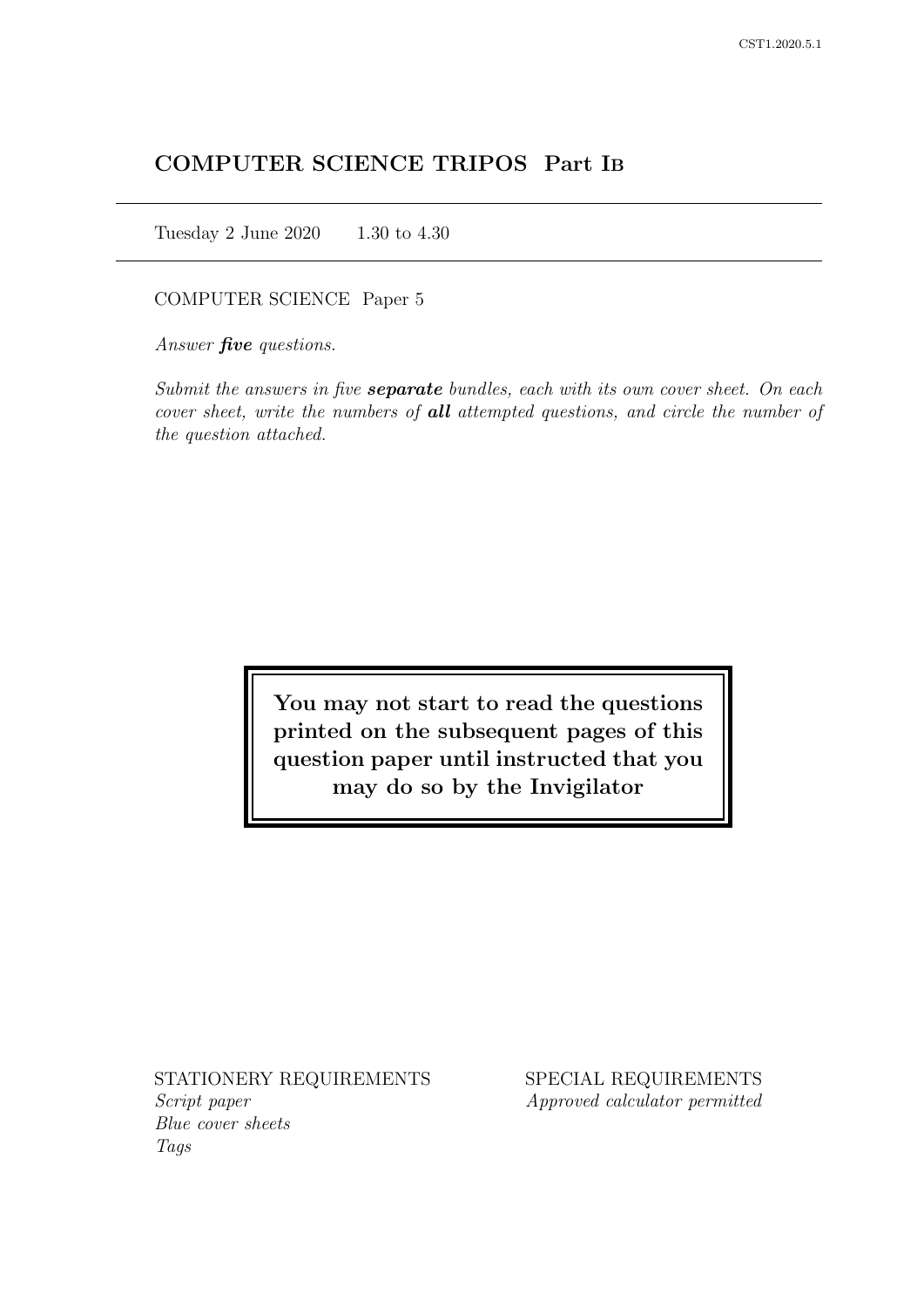# COMPUTER SCIENCE TRIPOS Part IB

Tuesday 2 June 2020 1.30 to 4.30

COMPUTER SCIENCE Paper 5

Answer *five* questions.

Submit the answers in five **separate** bundles, each with its own cover sheet. On each cover sheet, write the numbers of **all** attempted questions, and circle the number of the question attached.

> You may not start to read the questions printed on the subsequent pages of this question paper until instructed that you may do so by the Invigilator

STATIONERY REQUIREMENTS Script paper Blue cover sheets

Tags

SPECIAL REQUIREMENTS Approved calculator permitted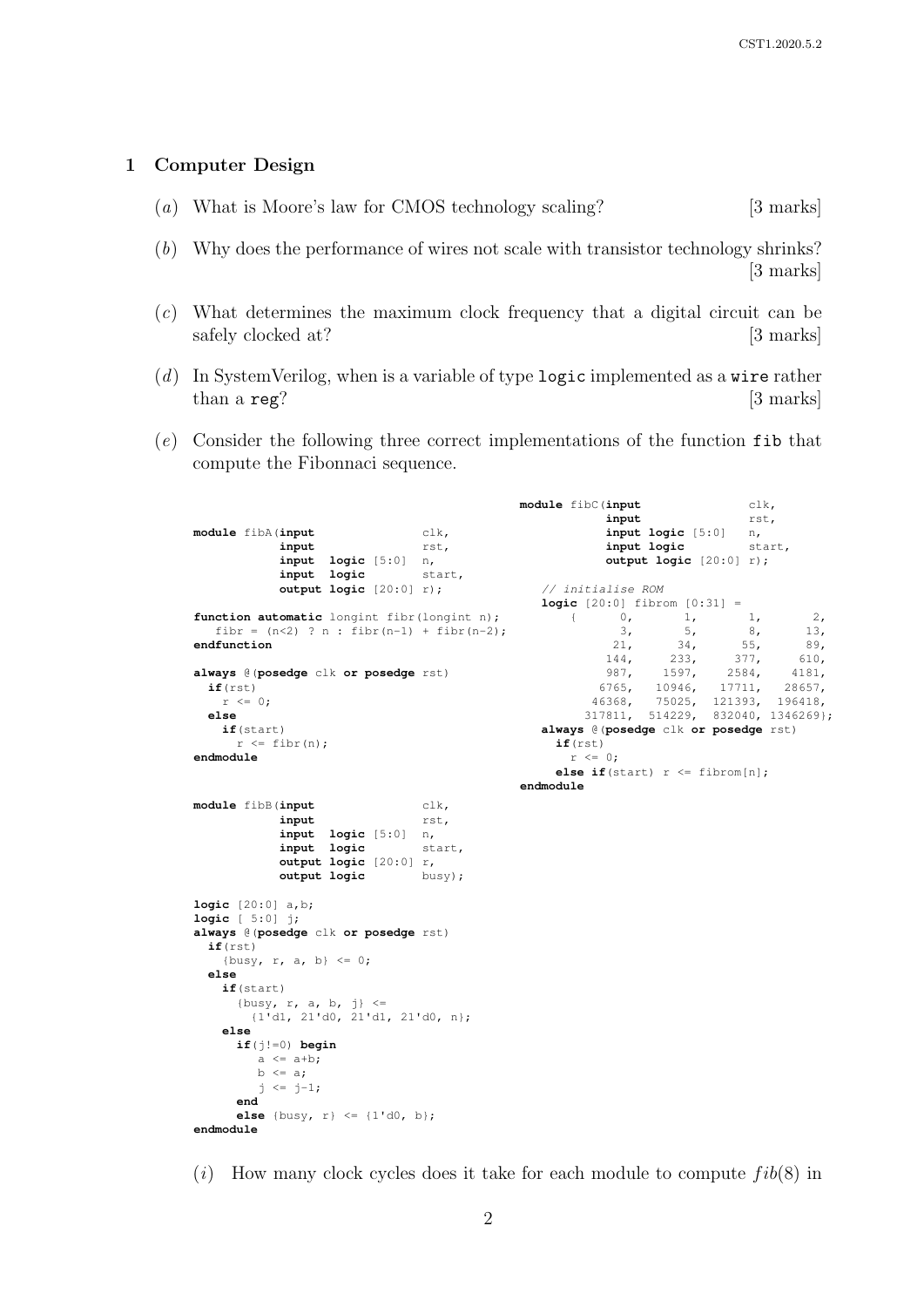#### 1 Computer Design

- (a) What is Moore's law for CMOS technology scaling? [3 marks]
- (b) Why does the performance of wires not scale with transistor technology shrinks? [3 marks]
- (c) What determines the maximum clock frequency that a digital circuit can be safely clocked at? [3 marks]
- (d) In SystemVerilog, when is a variable of type logic implemented as a wire rather than a reg? [3 marks]
- (e) Consider the following three correct implementations of the function fib that compute the Fibonnaci sequence.

**module** fibA(**input** clk, **input** rst, **input logic** [5:0] n, input logic **output logic** [20:0] r); function automatic longint fibr(longint n); fibr =  $(n<2)$  ? n : fibr $(n-1)$  + fibr $(n-2)$ ; **endfunction always** @(**posedge** clk **or posedge** rst) **if**(rst)  $r \leq 0;$ **else if**(start)  $r \leq$  fibr(n); **endmodule module** fibC(**input** clk, **input** rst, **input logic** [5:0] n, **input logic** start, **output logic** [20:0] r); // initialise ROM **logic**  $[20:0]$  fibrom  $[0:31]$  =  $\begin{bmatrix} 0 & 1 & 1 \end{bmatrix}$ {  $0, 1, 1, 2,$  $\begin{array}{cccc} 3, & 5, & 8, & 13, \\ 21, & 34, & 55, & 89, \end{array}$ 21, 34, 55, 89, 144, 233, 377, 610, 987, 1597, 2584, 4181,<br>6765, 10946, 17711, 28657, 6765, 10946, 17711,<br>46368, 75025, 121393, 46368, 75025, 121393, 196418, 317811, 514229, 832040, 1346269}; **always** @(**posedge** clk **or posedge** rst) **if**(rst)  $r \leq 0;$ **else if**(start)  $r \leq$  fibrom[n]; **endmodule module** fibB(**input** clk, **input** rst, **input logic** [5:0] n, input logic **output logic** [20:0] r,<br> **output logic** busy); output logic **logic** [20:0] a,b; **logic** [ 5:0] j; **always** @(**posedge** clk **or posedge** rst) **if**(rst) {busy,  $r$ ,  $a$ ,  $b$ }  $\leq 0$ ; **else if**(start) {busy,  $r$ ,  $a$ ,  $b$ ,  $j$ }  $\leq$ {1'd1, 21'd0, 21'd1, 21'd0, n}; **else if**(j!=0) **begin**  $a \leq a+b;$  $b \leq a$ ;  $j \le j-1;$ **end else** {busy, r} <= {1'd0, b}; **endmodule**

(i) How many clock cycles does it take for each module to compute  $fib(8)$  in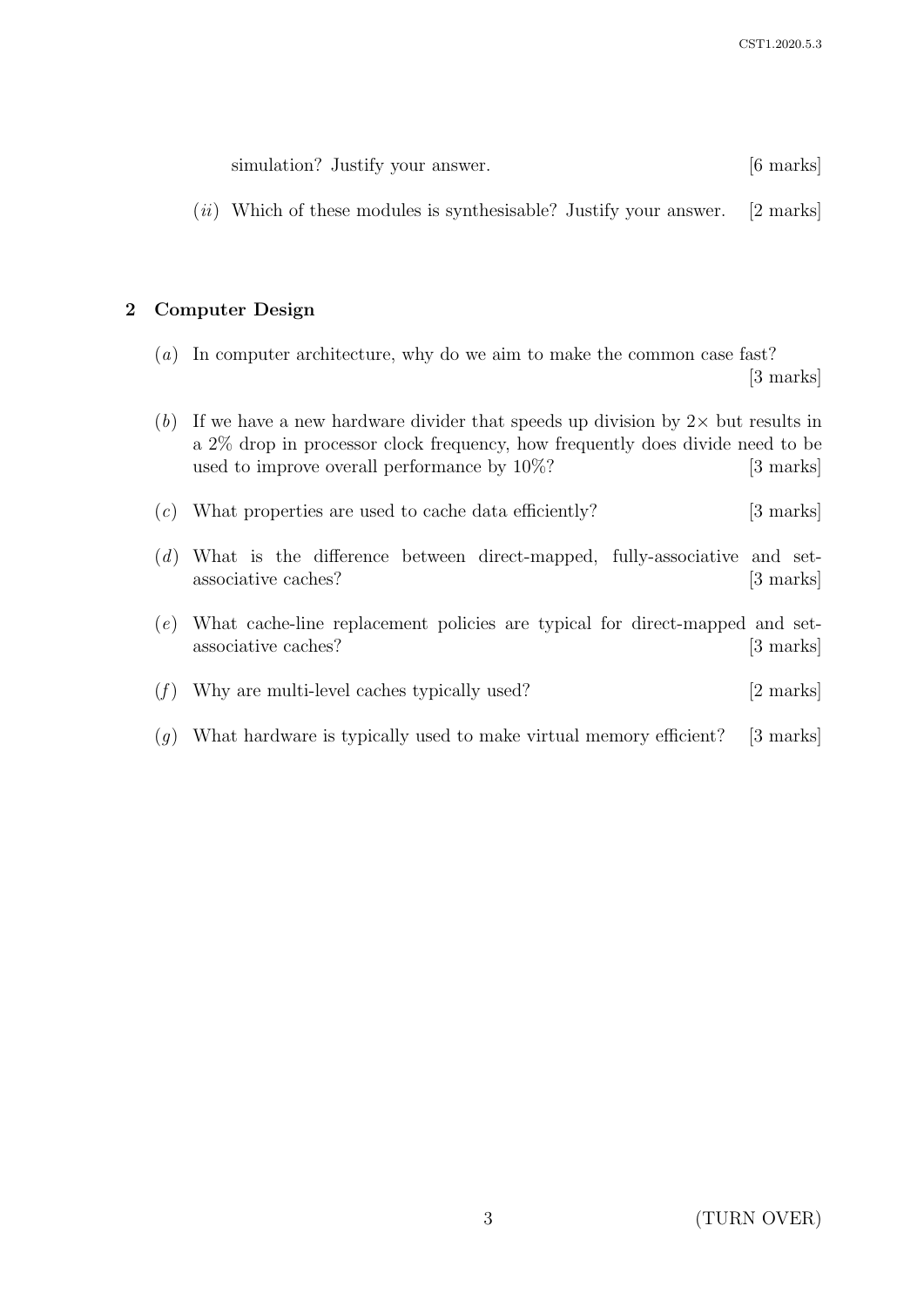| simulation? Justify your answer. | $[6 \text{ marks}]$ |
|----------------------------------|---------------------|
|----------------------------------|---------------------|

 $(ii)$  Which of these modules is synthesisable? Justify your answer. [2 marks]

## 2 Computer Design

- (a) In computer architecture, why do we aim to make the common case fast? [3 marks]
- (b) If we have a new hardware divider that speeds up division by  $2 \times$  but results in a 2% drop in processor clock frequency, how frequently does divide need to be used to improve overall performance by  $10\%$ ? [3 marks]  $(c)$  What properties are used to cache data efficiently? [3 marks] (d) What is the difference between direct-mapped, fully-associative and setassociative caches? [3 marks] (e) What cache-line replacement policies are typical for direct-mapped and setassociative caches? [3 marks]
- (f) Why are multi-level caches typically used?  $[2 \text{ marks}]$
- (g) What hardware is typically used to make virtual memory efficient? [3 marks]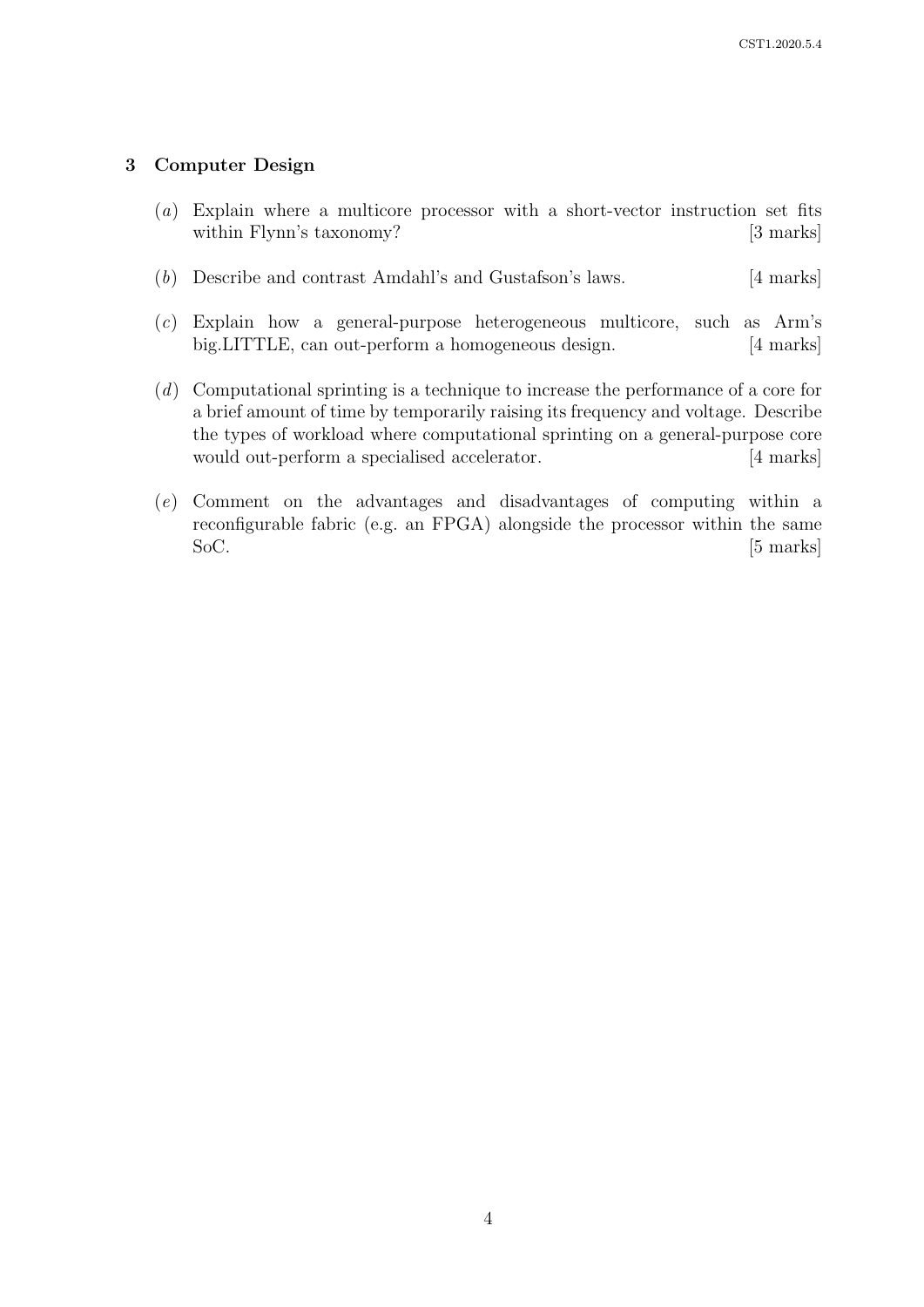## 3 Computer Design

- (a) Explain where a multicore processor with a short-vector instruction set fits within Flynn's taxonomy? [3 marks]
- (b) Describe and contrast Amdahl's and Gustafson's laws. [4 marks]
- (c) Explain how a general-purpose heterogeneous multicore, such as Arm's big.LITTLE, can out-perform a homogeneous design. [4 marks]
- (d) Computational sprinting is a technique to increase the performance of a core for a brief amount of time by temporarily raising its frequency and voltage. Describe the types of workload where computational sprinting on a general-purpose core would out-perform a specialised accelerator. [4 marks]
- (e) Comment on the advantages and disadvantages of computing within a reconfigurable fabric (e.g. an FPGA) alongside the processor within the same SoC. [5 marks]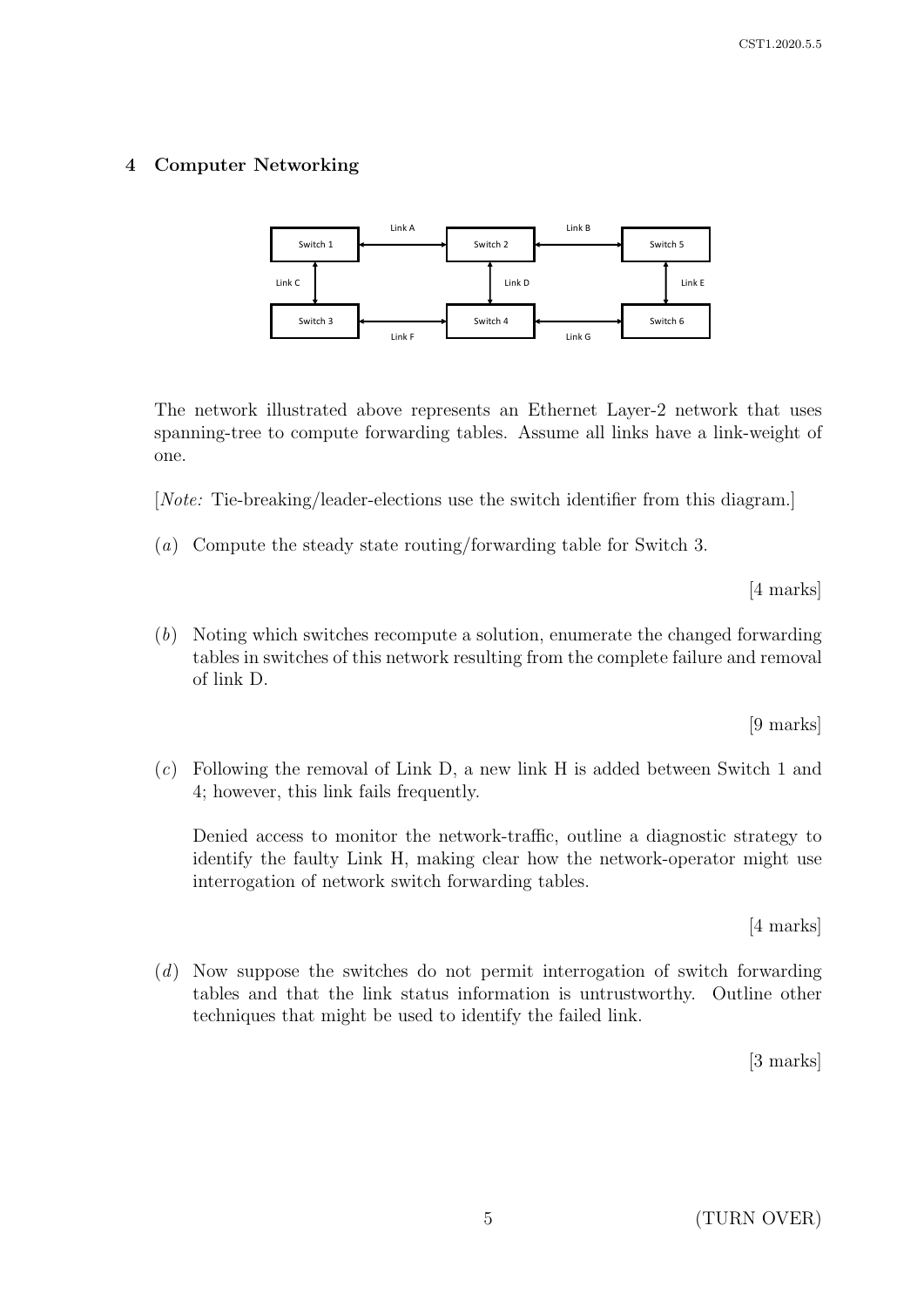## 4 Computer Networking



The network illustrated above represents an Ethernet Layer-2 network that uses spanning-tree to compute forwarding tables. Assume all links have a link-weight of one.

[Note: Tie-breaking/leader-elections use the switch identifier from this diagram.]

(a) Compute the steady state routing/forwarding table for Switch 3.

[4 marks]

(b) Noting which switches recompute a solution, enumerate the changed forwarding tables in switches of this network resulting from the complete failure and removal of link D.

[9 marks]

(c) Following the removal of Link D, a new link H is added between Switch 1 and 4; however, this link fails frequently.

Denied access to monitor the network-traffic, outline a diagnostic strategy to identify the faulty Link H, making clear how the network-operator might use interrogation of network switch forwarding tables.

[4 marks]

(d) Now suppose the switches do not permit interrogation of switch forwarding tables and that the link status information is untrustworthy. Outline other techniques that might be used to identify the failed link.

[3 marks]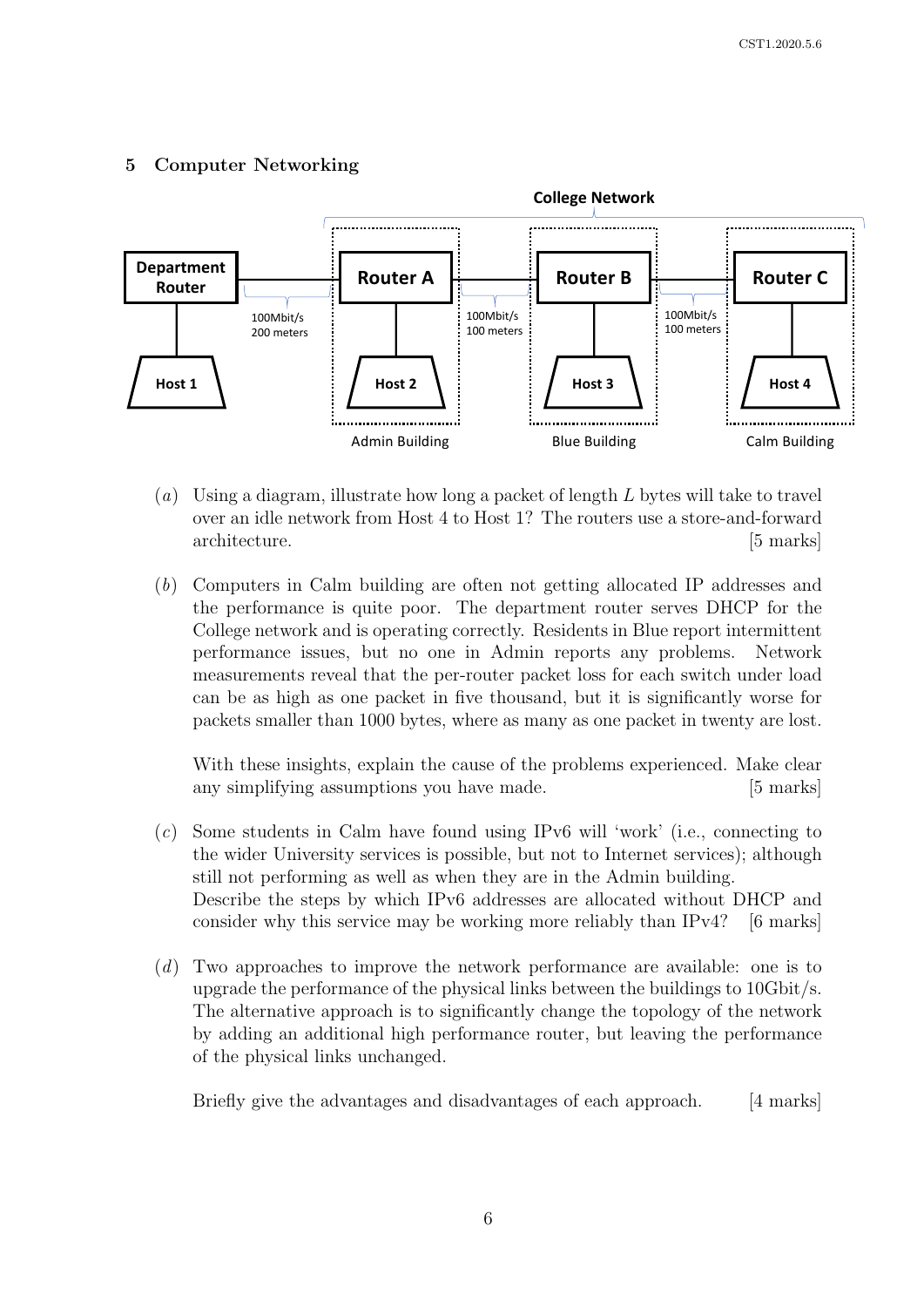## 5 Computer Networking



- (a) Using a diagram, illustrate how long a packet of length  $L$  bytes will take to travel over an idle network from Host 4 to Host 1? The routers use a store-and-forward architecture. [5 marks]
- (b) Computers in Calm building are often not getting allocated IP addresses and the performance is quite poor. The department router serves DHCP for the College network and is operating correctly. Residents in Blue report intermittent performance issues, but no one in Admin reports any problems. Network measurements reveal that the per-router packet loss for each switch under load can be as high as one packet in five thousand, but it is significantly worse for packets smaller than 1000 bytes, where as many as one packet in twenty are lost.

With these insights, explain the cause of the problems experienced. Make clear any simplifying assumptions you have made. [5 marks]

- (c) Some students in Calm have found using IPv6 will 'work' (i.e., connecting to the wider University services is possible, but not to Internet services); although still not performing as well as when they are in the Admin building. Describe the steps by which IPv6 addresses are allocated without DHCP and consider why this service may be working more reliably than IPv4? [6 marks]
- (d) Two approaches to improve the network performance are available: one is to upgrade the performance of the physical links between the buildings to 10Gbit/s. The alternative approach is to significantly change the topology of the network by adding an additional high performance router, but leaving the performance of the physical links unchanged.

Briefly give the advantages and disadvantages of each approach. [4 marks]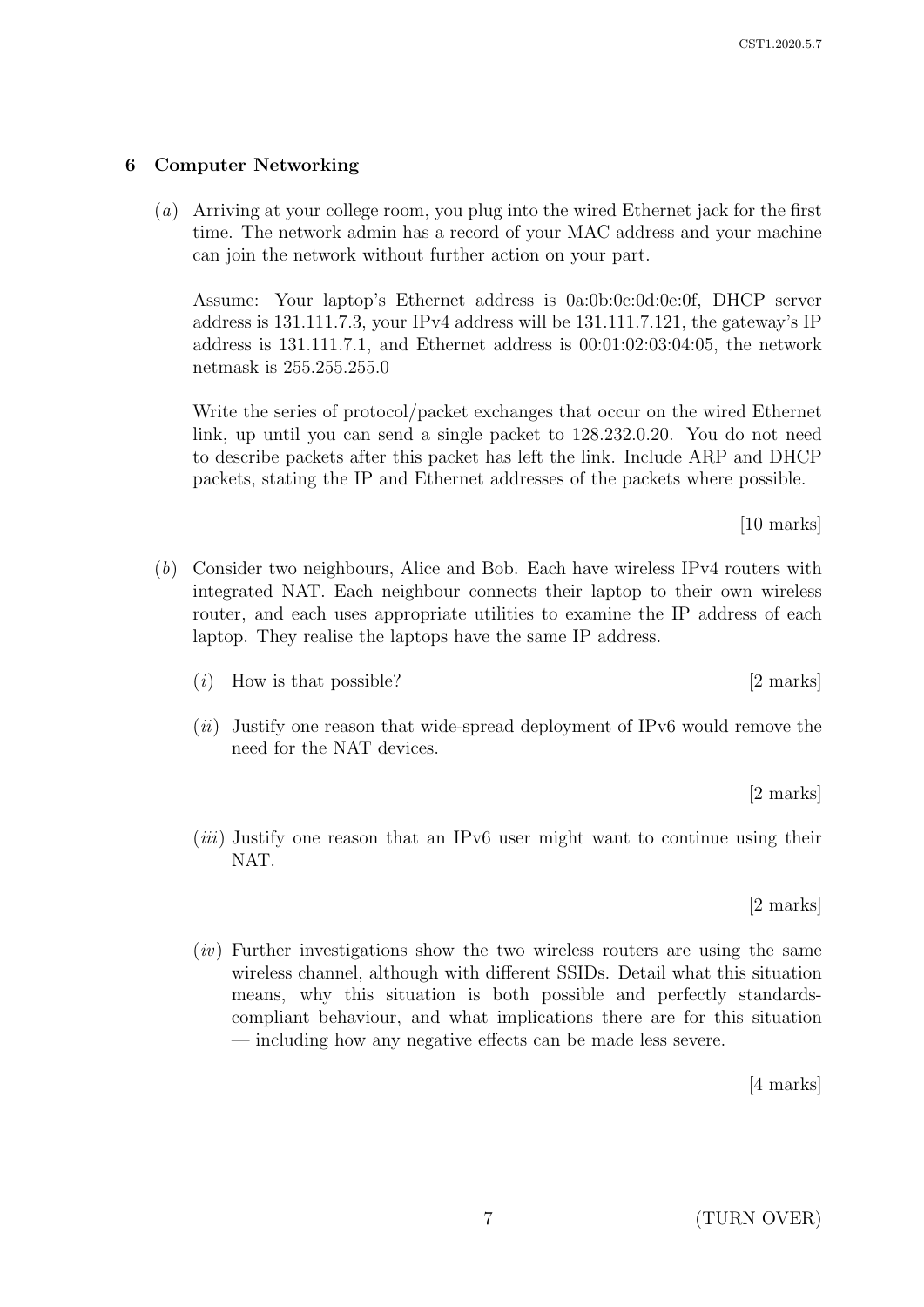(a) Arriving at your college room, you plug into the wired Ethernet jack for the first time. The network admin has a record of your MAC address and your machine can join the network without further action on your part.

Assume: Your laptop's Ethernet address is 0a:0b:0c:0d:0e:0f, DHCP server address is 131.111.7.3, your IPv4 address will be 131.111.7.121, the gateway's IP address is 131.111.7.1, and Ethernet address is 00:01:02:03:04:05, the network netmask is 255.255.255.0

Write the series of protocol/packet exchanges that occur on the wired Ethernet link, up until you can send a single packet to 128.232.0.20. You do not need to describe packets after this packet has left the link. Include ARP and DHCP packets, stating the IP and Ethernet addresses of the packets where possible.

(b) Consider two neighbours, Alice and Bob. Each have wireless IPv4 routers with integrated NAT. Each neighbour connects their laptop to their own wireless router, and each uses appropriate utilities to examine the IP address of each laptop. They realise the laptops have the same IP address.

- (*i*) How is that possible?  $[2 \text{ marks}]$
- $(ii)$  Justify one reason that wide-spread deployment of IPv6 would remove the need for the NAT devices.

[2 marks]

 $(iii)$  Justify one reason that an IPv6 user might want to continue using their NAT.

[2 marks]

 $(iv)$  Further investigations show the two wireless routers are using the same wireless channel, although with different SSIDs. Detail what this situation means, why this situation is both possible and perfectly standardscompliant behaviour, and what implications there are for this situation — including how any negative effects can be made less severe.

[4 marks]

[10 marks]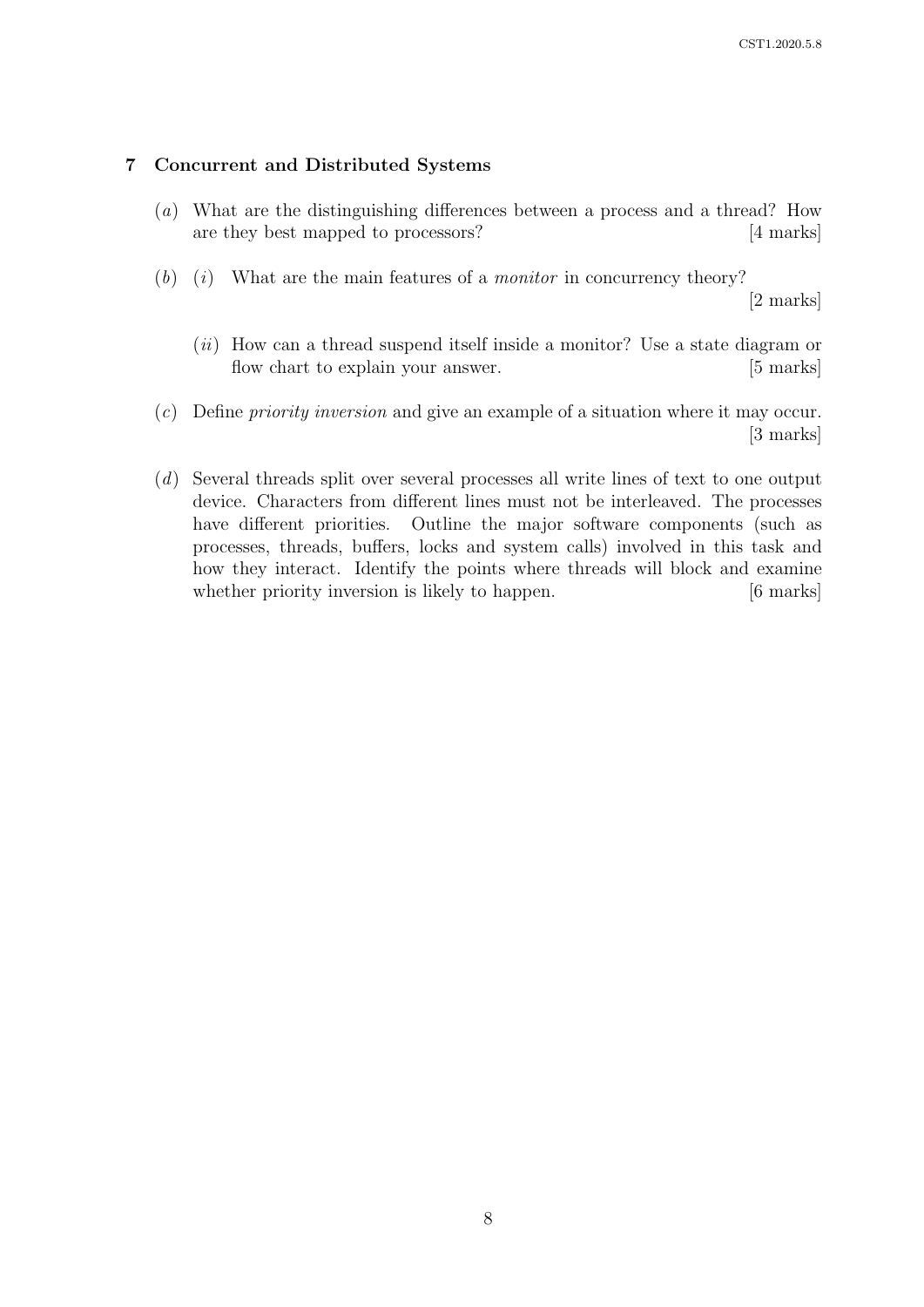### 7 Concurrent and Distributed Systems

- (a) What are the distinguishing differences between a process and a thread? How are they best mapped to processors? [4 marks]
- $(b)$  (i) What are the main features of a *monitor* in concurrency theory?

[2 marks]

- $(ii)$  How can a thread suspend itself inside a monitor? Use a state diagram or flow chart to explain your answer. [5 marks]
- (c) Define priority inversion and give an example of a situation where it may occur. [3 marks]
- (d) Several threads split over several processes all write lines of text to one output device. Characters from different lines must not be interleaved. The processes have different priorities. Outline the major software components (such as processes, threads, buffers, locks and system calls) involved in this task and how they interact. Identify the points where threads will block and examine whether priority inversion is likely to happen. [6 marks]